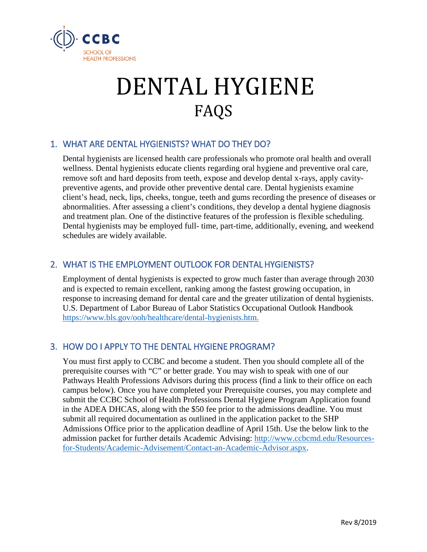

# DENTAL HYGIENE FAQS

# 1. WHAT ARE DENTAL HYGIENISTS? WHAT DO THEY DO?

Dental hygienists are licensed health care professionals who promote oral health and overall wellness. Dental hygienists educate clients regarding oral hygiene and preventive oral care, remove soft and hard deposits from teeth, expose and develop dental x-rays, apply cavitypreventive agents, and provide other preventive dental care. Dental hygienists examine client's head, neck, lips, cheeks, tongue, teeth and gums recording the presence of diseases or abnormalities. After assessing a client's conditions, they develop a dental hygiene diagnosis and treatment plan. One of the distinctive features of the profession is flexible scheduling. Dental hygienists may be employed full- time, part-time, additionally, evening, and weekend schedules are widely available.

#### 2. WHAT IS THE EMPLOYMENT OUTLOOK FOR DENTAL HYGIENISTS?

Employment of dental hygienists is expected to grow much faster than average through 2030 and is expected to remain excellent, ranking among the fastest growing occupation, in response to increasing demand for dental care and the greater utilization of dental hygienists. U.S. Department of Labor Bureau of Labor Statistics Occupational Outlook Handbook <https://www.bls.gov/ooh/healthcare/dental-hygienists.htm.>

#### 3. HOW DO I APPLY TO THE DENTAL HYGIENE PROGRAM?

You must first apply to CCBC and become a student. Then you should complete all of the prerequisite courses with "C" or better grade. You may wish to speak with one of our Pathways Health Professions Advisors during this process (find a link to their office on each campus below). Once you have completed your Prerequisite courses, you may complete and submit the CCBC School of Health Professions Dental Hygiene Program Application found in the ADEA DHCAS, along with the \$50 fee prior to the admissions deadline. You must submit all required documentation as outlined in the application packet to the SHP Admissions Office prior to the application deadline of April 15th. Use the below link to the admission packet for further details Academic Advising: [http://www.ccbcmd.edu/Resources](http://www.ccbcmd.edu/Resources-for-Students/Academic-Advisement/Contact-an-Academic-Advisor.aspx)[for-Students/Academic-Advisement/Contact-an-Academic-Advisor.aspx.](http://www.ccbcmd.edu/Resources-for-Students/Academic-Advisement/Contact-an-Academic-Advisor.aspx)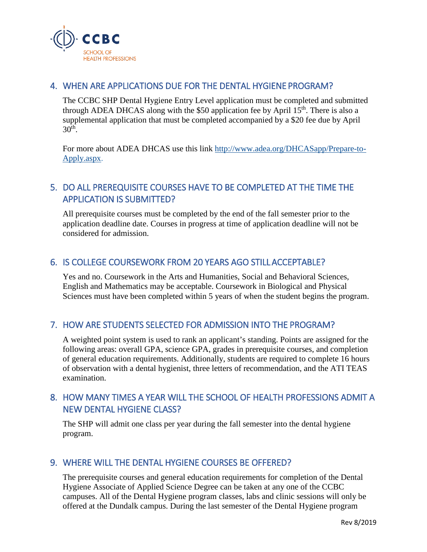

#### 4. WHEN ARE APPLICATIONS DUE FOR THE DENTAL HYGIENE PROGRAM?

The CCBC SHP Dental Hygiene Entry Level application must be completed and submitted through ADEA DHCAS along with the \$50 application fee by April  $15<sup>th</sup>$ . There is also a supplemental application that must be completed accompanied by a \$20 fee due by April  $30<sup>th</sup>$ .

For more about ADEA DHCAS use this link [http://www.adea.org/DHCASapp/Prepare-to-](http://www.adea.org/DHCASapp/Prepare-to-Apply.aspx)[Apply.aspx.](http://www.adea.org/DHCASapp/Prepare-to-Apply.aspx)

# 5. DO ALL PREREQUISITE COURSES HAVE TO BE COMPLETED AT THE TIME THE APPLICATION IS SUBMITTED?

All prerequisite courses must be completed by the end of the fall semester prior to the application deadline date. Courses in progress at time of application deadline will not be considered for admission.

#### 6. IS COLLEGE COURSEWORK FROM 20 YEARS AGO STILL ACCEPTABLE?

Yes and no. Coursework in the Arts and Humanities, Social and Behavioral Sciences, English and Mathematics may be acceptable. Coursework in Biological and Physical Sciences must have been completed within 5 years of when the student begins the program.

## 7. HOW ARE STUDENTS SELECTED FOR ADMISSION INTO THE PROGRAM?

A weighted point system is used to rank an applicant's standing. Points are assigned for the following areas: overall GPA, science GPA, grades in prerequisite courses, and completion of general education requirements. Additionally, students are required to complete 16 hours of observation with a dental hygienist, three letters of recommendation, and the ATI TEAS examination.

# 8. HOW MANY TIMES A YEAR WILL THE SCHOOL OF HEALTH PROFESSIONS ADMIT A NEW DENTAL HYGIENE CLASS?

The SHP will admit one class per year during the fall semester into the dental hygiene program.

## 9. WHERE WILL THE DENTAL HYGIENE COURSES BE OFFERED?

The prerequisite courses and general education requirements for completion of the Dental Hygiene Associate of Applied Science Degree can be taken at any one of the CCBC campuses. All of the Dental Hygiene program classes, labs and clinic sessions will only be offered at the Dundalk campus. During the last semester of the Dental Hygiene program